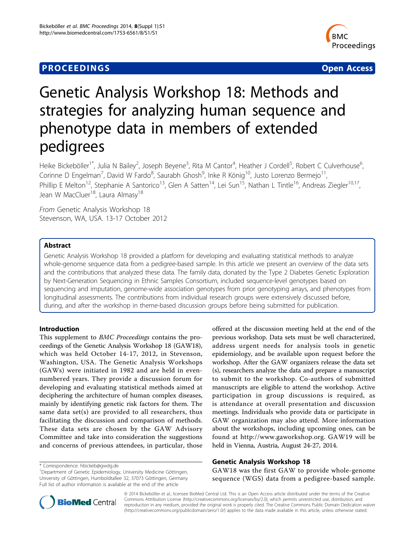# **PROCEEDINGS STATE ACCESS CONSUMING SECTION CONSUMING SECTION CONSUMING SECTION CONSUMING SECTION CONSUMING SECTION CONSUMING SECTION CONSUMING SECTION CONSUMING SECTION CONSUMING SECTION CONSUMING SECTION CONSUMING SE**



# Genetic Analysis Workshop 18: Methods and strategies for analyzing human sequence and phenotype data in members of extended pedigrees

Heike Bickeböller<sup>1\*</sup>, Julia N Bailey<sup>2</sup>, Joseph Beyene<sup>3</sup>, Rita M Cantor<sup>4</sup>, Heather J Cordell<sup>5</sup>, Robert C Culverhouse<sup>6</sup> , Corinne D Engelman<sup>7</sup>, David W Fardo<sup>8</sup>, Saurabh Ghosh<sup>9</sup>, Inke R König<sup>10</sup>, Justo Lorenzo Bermejo<sup>11</sup>, Phillip E Melton<sup>12</sup>, Stephanie A Santorico<sup>13</sup>, Glen A Satten<sup>14</sup>, Lei Sun<sup>15</sup>, Nathan L Tintle<sup>16</sup>, Andreas Ziegler<sup>10,17</sup>, Jean W MacCluer<sup>18</sup>, Laura Almasy<sup>18</sup>

From Genetic Analysis Workshop 18 Stevenson, WA, USA. 13-17 October 2012

# Abstract

Genetic Analysis Workshop 18 provided a platform for developing and evaluating statistical methods to analyze whole-genome sequence data from a pedigree-based sample. In this article we present an overview of the data sets and the contributions that analyzed these data. The family data, donated by the Type 2 Diabetes Genetic Exploration by Next-Generation Sequencing in Ethnic Samples Consortium, included sequence-level genotypes based on sequencing and imputation, genome-wide association genotypes from prior genotyping arrays, and phenotypes from longitudinal assessments. The contributions from individual research groups were extensively discussed before, during, and after the workshop in theme-based discussion groups before being submitted for publication.

# Introduction

This supplement to BMC Proceedings contains the proceedings of the Genetic Analysis Workshop 18 (GAW18), which was held October 14-17, 2012, in Stevenson, Washington, USA. The Genetic Analysis Workshops (GAWs) were initiated in 1982 and are held in evennumbered years. They provide a discussion forum for developing and evaluating statistical methods aimed at deciphering the architecture of human complex diseases, mainly by identifying genetic risk factors for them. The same data set(s) are provided to all researchers, thus facilitating the discussion and comparison of methods. These data sets are chosen by the GAW Advisory Committee and take into consideration the suggestions and concerns of previous attendees, in particular, those

offered at the discussion meeting held at the end of the previous workshop. Data sets must be well characterized, address urgent needs for analysis tools in genetic epidemiology, and be available upon request before the workshop. After the GAW organizers release the data set (s), researchers analyze the data and prepare a manuscript to submit to the workshop. Co-authors of submitted manuscripts are eligible to attend the workshop. Active participation in group discussions is required, as is attendance at overall presentation and discussion meetings. Individuals who provide data or participate in GAW organization may also attend. More information about the workshops, including upcoming ones, can be found at [http://www.gaworkshop.org.](http://www.gaworkshop.org) GAW19 will be held in Vienna, Austria, August 24-27, 2014.

# Genetic Analysis Workshop 18

GAW18 was the first GAW to provide whole-genome sequence (WGS) data from a pedigree-based sample.



© 2014 Bickeböller et al.; licensee BioMed Central Ltd. This is an Open Access article distributed under the terms of the Creative Commons Attribution License [\(http://creativecommons.org/licenses/by/2.0](http://creativecommons.org/licenses/by/2.0)), which permits unrestricted use, distribution, and reproduction in any medium, provided the original work is properly cited. The Creative Commons Public Domain Dedication waiver [\(http://creativecommons.org/publicdomain/zero/1.0/](http://creativecommons.org/publicdomain/zero/1.0/)) applies to the data made available in this article, unless otherwise stated.

<sup>\*</sup> Correspondence: [hbickeb@gwdg.de](mailto:hbickeb@gwdg.de)

<sup>1</sup> Department of Genetic Epidemiology, University Medicine Göttingen, University of Göttingen, Humboldtallee 32, 37073 Göttingen, Germany Full list of author information is available at the end of the article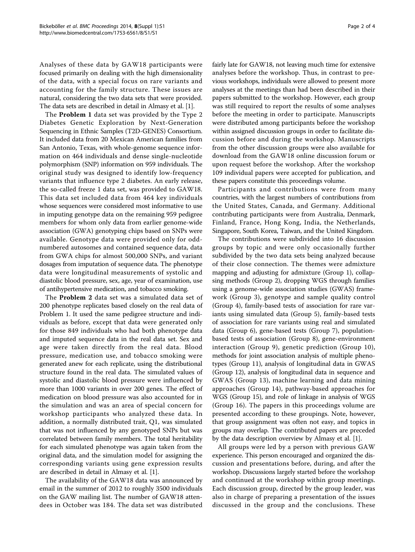Analyses of these data by GAW18 participants were focused primarily on dealing with the high dimensionality of the data, with a special focus on rare variants and accounting for the family structure. These issues are natural, considering the two data sets that were provided. The data sets are described in detail in Almasy et al. [\[1](#page-3-0)].

The Problem 1 data set was provided by the Type 2 Diabetes Genetic Exploration by Next-Generation Sequencing in Ethnic Samples (T2D-GENES) Consortium. It included data from 20 Mexican American families from San Antonio, Texas, with whole-genome sequence information on 464 individuals and dense single-nucleotide polymorphism (SNP) information on 959 individuals. The original study was designed to identify low-frequency variants that influence type 2 diabetes. An early release, the so-called freeze 1 data set, was provided to GAW18. This data set included data from 464 key individuals whose sequences were considered most informative to use in imputing genotype data on the remaining 959 pedigree members for whom only data from earlier genome-wide association (GWA) genotyping chips based on SNPs were available. Genotype data were provided only for oddnumbered autosomes and contained sequence data, data from GWA chips for almost 500,000 SNPs, and variant dosages from imputation of sequence data. The phenotype data were longitudinal measurements of systolic and diastolic blood pressure, sex, age, year of examination, use of antihypertensive medication, and tobacco smoking.

The Problem 2 data set was a simulated data set of 200 phenotype replicates based closely on the real data of Problem 1. It used the same pedigree structure and individuals as before, except that data were generated only for those 849 individuals who had both phenotype data and imputed sequence data in the real data set. Sex and age were taken directly from the real data. Blood pressure, medication use, and tobacco smoking were generated anew for each replicate, using the distributional structure found in the real data. The simulated values of systolic and diastolic blood pressure were influenced by more than 1000 variants in over 200 genes. The effect of medication on blood pressure was also accounted for in the simulation and was an area of special concern for workshop participants who analyzed these data. In addition, a normally distributed trait, Q1, was simulated that was not influenced by any genotyped SNPs but was correlated between family members. The total heritability for each simulated phenotype was again taken from the original data, and the simulation model for assigning the corresponding variants using gene expression results are described in detail in Almasy et al. [\[1\]](#page-3-0).

The availability of the GAW18 data was announced by email in the summer of 2012 to roughly 3500 individuals on the GAW mailing list. The number of GAW18 attendees in October was 184. The data set was distributed fairly late for GAW18, not leaving much time for extensive analyses before the workshop. Thus, in contrast to previous workshops, individuals were allowed to present more analyses at the meetings than had been described in their papers submitted to the workshop. However, each group was still required to report the results of some analyses before the meeting in order to participate. Manuscripts were distributed among participants before the workshop within assigned discussion groups in order to facilitate discussion before and during the workshop. Manuscripts from the other discussion groups were also available for download from the GAW18 online discussion forum or upon request before the workshop. After the workshop 109 individual papers were accepted for publication, and these papers constitute this proceedings volume.

Participants and contributions were from many countries, with the largest numbers of contributions from the United States, Canada, and Germany. Additional contributing participants were from Australia, Denmark, Finland, France, Hong Kong, India, the Netherlands, Singapore, South Korea, Taiwan, and the United Kingdom.

The contributions were subdivided into 16 discussion groups by topic and were only occasionally further subdivided by the two data sets being analyzed because of their close connection. The themes were admixture mapping and adjusting for admixture (Group 1), collapsing methods (Group 2), dropping WGS through families using a genome-wide association studies (GWAS) framework (Group 3), genotype and sample quality control (Group 4), family-based tests of association for rare variants using simulated data (Group 5), family-based tests of association for rare variants using real and simulated data (Group 6), gene-based tests (Group 7), populationbased tests of association (Group 8), gene-environment interaction (Group 9), genetic prediction (Group 10), methods for joint association analysis of multiple phenotypes (Group 11), analysis of longitudinal data in GWAS (Group 12), analysis of longitudinal data in sequence and GWAS (Group 13), machine learning and data mining approaches (Group 14), pathway-based approaches for WGS (Group 15), and role of linkage in analysis of WGS (Group 16). The papers in this proceedings volume are presented according to these groupings. Note, however, that group assignment was often not easy, and topics in groups may overlap. The contributed papers are preceded by the data description overview by Almasy et al. [[1](#page-3-0)].

All groups were led by a person with previous GAW experience. This person encouraged and organized the discussion and presentations before, during, and after the workshop. Discussions largely started before the workshop and continued at the workshop within group meetings. Each discussion group, directed by the group leader, was also in charge of preparing a presentation of the issues discussed in the group and the conclusions. These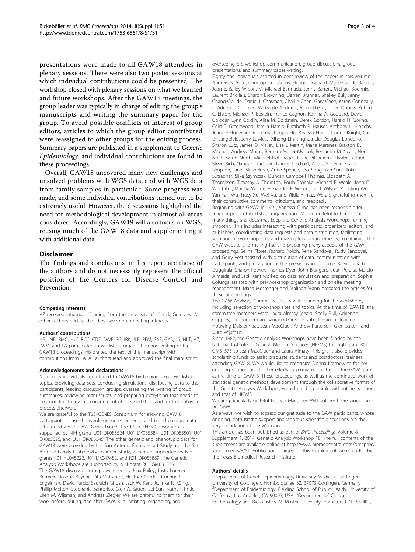presentations were made to all GAW18 attendees in plenary sessions. There were also two poster sessions at which individual contributions could be presented. The workshop closed with plenary sessions on what we learned and future workshops. After the GAW18 meetings, the group leader was typically in charge of editing the group's manuscripts and writing the summary paper for the group. To avoid possible conflicts of interest of group editors, articles to which the group editor contributed were reassigned to other groups for the editing process. Summary papers are published in a supplement to Genetic Epidemiology, and individual contributions are found in these proceedings.

Overall, GAW18 uncovered many new challenges and unsolved problems with WGS data, and with WGS data from family samples in particular. Some progress was made, and some individual contributions turned out to be extremely useful. However, the discussions highlighted the need for methodological development in almost all areas considered. Accordingly, GAW19 will also focus on WGS, reusing much of the GAW18 data and supplementing it with additional data.

## Disclaimer

The findings and conclusions in this report are those of the authors and do not necessarily represent the official position of the Centers for Disease Control and Prevention.

#### Competing interests

AZ received intramural funding from the University of Lübeck, Germany. All other authors declare that they have no competing interests.

#### Authors' contributions

HB, JNB, RMC, HJC, RCC, CDE, DWF, SG, IRK, JLB, PEM, SAS, GAS, LS, NLT, AZ, JWM, and LA participated in workshop organization and editing of the GAW18 proceedings. HB drafted the text of this manuscript with contributions from LA. All authors read and approved the final manuscript.

#### Acknowledgements and declarations

Numerous individuals contributed to GAW18 by helping select workshop topics, providing data sets, conducting simulations, distributing data to the participants, leading discussion groups, overseeing the writing of group summaries, reviewing manuscripts, and preparing everything that needs to be done for the event management of the workshop and for the publishing process afterward.

We are grateful to the T2D-GENES Consortium for allowing GAW18 participants to use the whole-genome sequence and blood pressure data set around which GAW18 was based. The T2D-GENES Consortium is supported by NIH grants U01 DK085524, U01 DK085584, U01 DK085501, U01 DK085526, and U01 DK085545. The other genetic and phenotypic data for GAW18 were provided by the San Antonio Family Heart Study and the San Antonio Family Diabetes/Gallbladder Study, which are supported by NIH grants P01 HL045222, R01 DK047482, and R01 DK053889. The Genetic Analysis Workshops are supported by NIH grant R01 GM031575. The GAW18 discussion groups were led by Julia Bailey, Justo Lorenzo Bermejo, Joseph Beyene, Rita M. Cantor, Heather Cordell, Corinne D. Engelman, David Fardo, Saurabh Ghosh, Jack W. Kent Jr., Inke R. König, Phillip Melton, Stephanie Santorico, Glen A. Satten, Lei Sun, Nathan Tintle, Ellen M. Wijsman, and Andreas Ziegler. We are grateful to them for their work before, during, and after GAW18 in initiating, organizing, and

overseeing pre-workshop communication, group discussions, group presentations, and summary paper writing.

Eighty-one individuals assisted in peer review of the papers in this volume: Andrew S. Allen, Christopher I. Amos, Hugues Aschard, Marie-Claude Babron, Joan E. Bailey-Wilson, M. Michael Barmada, Jenny Barrett, Michael Boehnke, Laurent Briollais, Sharon Browning, Darren Brunner, Shelley Bull, Jenny Chang-Claude, Daniel I. Chasman, Charlie Chen, Gary Chen, Karen Conneally, L. Adrienne Cupples, Mariza de Andrade, Vince Diego, Josée Dupuis, Robert C. Elston, Michael P. Epstein, France Gagnon, Katrina A. Goddard, David Goldgar, Lynn Goldin, Alisa M. Goldstein, Derek Gordon, Harald H. Göring, Celia T. Greenwood, Jemila Hamid, Elizabeth R. Hauser, Anthony L. Hinrichs, Jeanine Houwing-Duistermaat, Yijan Hu, Rayjean Hung, Joanne Knight, Carl D. Langefeld, Jerry Lawless, Xihong Lin, Jinghua Liu, Douglas Londono, Sharon Lutz, James D. Malley, Lisa J. Martin, Maria Martinez, Braxton D. Mitchell, Andrew Morris, Bertram Müller-Myhsok, Benjamin M. Neale, Nora L. Nock, Kari E. North, Michael Nothnagel, Janne Pitkäniemi, Elizabeth Pugh, Steve Rich, Nancy L. Saccone, Daniel J. Schaid, André Scherag, Claire Simpson, Janet Sinsheimer, Anne Spence, Lisa Strug, Yan Sun, Rinku Sutradhar, Silke Szymczak, Duncan Campbell Thomas, Elizabeth A. Thompson, Timothy A. Thornton, Roula Tsonaka, Michael E. Weale, John C. Whittaker, Marsha Wilcox, Alexander F. Wilson, Ian J. Wilson, Rongling Wu, Yan Yan Wu, Tracy Xu, Wei Xu, and Yildiz Yilmaz. We are grateful to them for their constructive comments, criticisms, and feedback. Beginning with GAW7 in 1991, Vanessa Olmo has been responsible for major aspects of workshop organization. We are grateful to her for the many things she does that keep the Genetic Analysis Workshops running smoothly. This includes interacting with participants, organizers, editors, and publishers; coordinating data requests and data distribution; facilitating selection of workshop sites and making local arrangements; maintaining the GAW website and mailing list; and preparing many aspects of the GAW proceedings. Selina Flores, Richard Polich, Rene Sandoval, Rudy Sandoval, and Gerry Vest assisted with distribution of data, communication with participants, and preparation of the pre-workshop volume. Ravindranath Duggirala, Sharon Fowler, Thomas Dyer, John Blangero, Juan Peralta, Marcio Almeida, and Jack Kent worked on data simulation and preparation. Sophie Colunga assisted with pre-workshop organization and on-site meeting

management. Maria Messenger and Malinda Mann prepared the articles for these proceedings.

The GAW Advisory Committee assists with planning for the workshops, including selection of workshop sites and topics. At the time of GAW18, the committee members were Laura Almasy (chair), Shelly Bull, Adrienne Cupples, Jim Gauderman, Saurabh Ghosh, Elizabeth Hauser, Jeanine Houwing-Duistermaat, Jean MacCluer, Andrew Patterson, Glen Satten, and Ellen Wijsman.

Since 1982, the Genetic Analysis Workshops have been funded by the National Institute of General Medical Sciences (NIGMS) through grant R01 GM31575 to Jean MacCluer and Laura Almasy. This grant also provides scholarship funds to assist graduate students and postdoctoral trainees attending GAW18. We would like to recognize Donna Krasnewich for her ongoing support and for her efforts as program director for the GAW grant at the time of GAW18. These proceedings, as well as the continued work of statistical genetic methods development through the collaborative format of the Genetic Analysis Workshops, would not be possible without her support and that of NIGMS.

We are particularly grateful to Jean MacCluer. Without her there would be no GAW.

As always, we wish to express our gratitude to the GAW participants, whose ongoing, enthusiastic support and vigorous scientific discussions are the very foundation of the Workshop.

This article has been published as part of BMC Proceedings Volume 8 Supplement 1, 2014: Genetic Analysis Workshop 18. The full contents of the supplement are available online at [http://www.biomedcentral.com/bmcproc/](http://www.biomedcentral.com/bmcproc/supplements/8/S1) [supplements/8/S1.](http://www.biomedcentral.com/bmcproc/supplements/8/S1) Publication charges for this supplement were funded by the Texas Biomedical Research Institute.

#### Authors' details <sup>1</sup>

<sup>1</sup>Department of Genetic Epidemiology, University Medicine Göttingen, University of Göttingen, Humboldtallee 32, 37073 Göttingen, Germany. 2 Department of Epidemiology, Fielding School of Public Health, University of California, Los Angeles, CA 90095, USA. <sup>3</sup> Department of Clinical Epidemiology and Biostatistics, McMaster University, Hamilton, ON L8S 4K1,